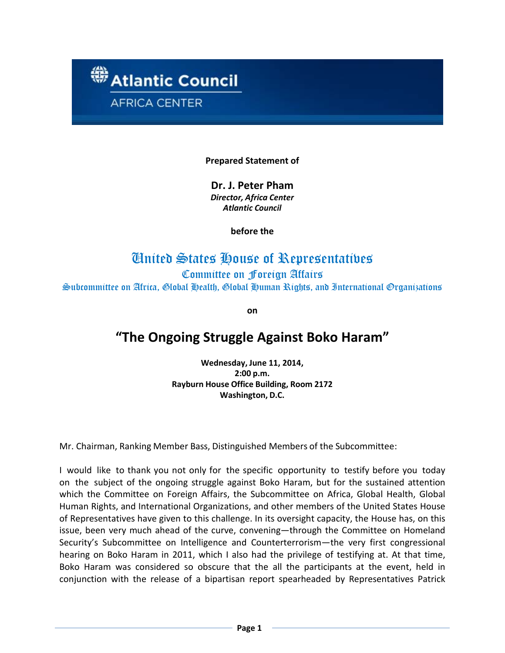

# **Prepared Statement of**

**Dr. J. Peter Pham** *Director, Africa Center Atlantic Council*

**before the**

# United States House of Representatives

Committee on Foreign Affairs Subcommittee on Africa, Global Health, Global Human Rights, and International Organizations

**on**

# **"The Ongoing Struggle Against Boko Haram"**

**Wednesday, June 11, 2014, 2:00 p.m. Rayburn House Office Building, Room 2172 Washington, D.C.**

Mr. Chairman, Ranking Member Bass, Distinguished Members of the Subcommittee:

I would like to thank you not only for the specific opportunity to testify before you today on the subject of the ongoing struggle against Boko Haram, but for the sustained attention which the Committee on Foreign Affairs, the Subcommittee on Africa, Global Health, Global Human Rights, and International Organizations, and other members of the United States House of Representatives have given to this challenge. In its oversight capacity, the House has, on this issue, been very much ahead of the curve, convening—through the Committee on Homeland Security's Subcommittee on Intelligence and Counterterrorism—the very first congressional hearing on Boko Haram in 2011, which I also had the privilege of testifying at. At that time, Boko Haram was considered so obscure that the all the participants at the event, held in conjunction with the release of a bipartisan report spearheaded by Representatives Patrick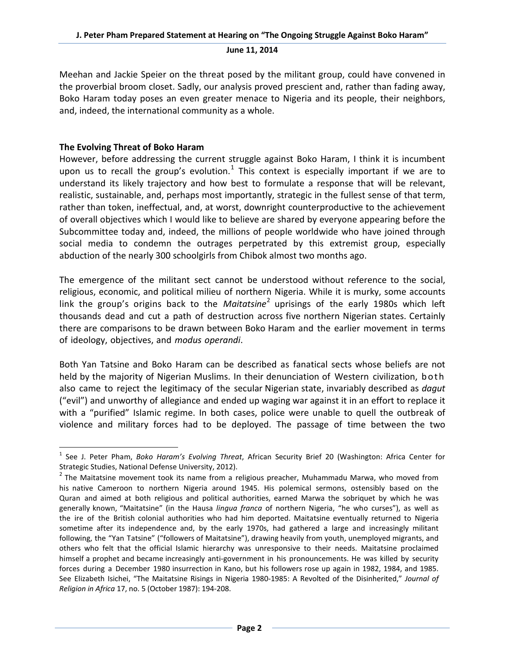Meehan and Jackie Speier on the threat posed by the militant group, could have convened in the proverbial broom closet. Sadly, our analysis proved prescient and, rather than fading away, Boko Haram today poses an even greater menace to Nigeria and its people, their neighbors, and, indeed, the international community as a whole.

# **The Evolving Threat of Boko Haram**

However, before addressing the current struggle against Boko Haram, I think it is incumbent upon us to recall the group's evolution.<sup>[1](#page-1-0)</sup> This context is especially important if we are to understand its likely trajectory and how best to formulate a response that will be relevant, realistic, sustainable, and, perhaps most importantly, strategic in the fullest sense of that term, rather than token, ineffectual, and, at worst, downright counterproductive to the achievement of overall objectives which I would like to believe are shared by everyone appearing before the Subcommittee today and, indeed, the millions of people worldwide who have joined through social media to condemn the outrages perpetrated by this extremist group, especially abduction of the nearly 300 schoolgirls from Chibok almost two months ago.

The emergence of the militant sect cannot be understood without reference to the social, religious, economic, and political milieu of northern Nigeria. While it is murky, some accounts link the group's origins back to the *Maitatsine*[2](#page-1-1) uprisings of the early 1980s which left thousands dead and cut a path of destruction across five northern Nigerian states. Certainly there are comparisons to be drawn between Boko Haram and the earlier movement in terms of ideology, objectives, and *modus operandi*.

Both Yan Tatsine and Boko Haram can be described as fanatical sects whose beliefs are not held by the majority of Nigerian Muslims. In their denunciation of Western civilization, both also came to reject the legitimacy of the secular Nigerian state, invariably described as *dagut* ("evil") and unworthy of allegiance and ended up waging war against it in an effort to replace it with a "purified" Islamic regime. In both cases, police were unable to quell the outbreak of violence and military forces had to be deployed. The passage of time between the two

<span id="page-1-0"></span> <sup>1</sup> See J. Peter Pham, *Boko Haram's Evolving Threat*, African Security Brief 20 (Washington: Africa Center for Strategic Studies, National Defense University, 2012).

<span id="page-1-1"></span> $2$  The Maitatsine movement took its name from a religious preacher, Muhammadu Marwa, who moved from his native Cameroon to northern Nigeria around 1945. His polemical sermons, ostensibly based on the Quran and aimed at both religious and political authorities, earned Marwa the sobriquet by which he was generally known, "Maitatsine" (in the Hausa *lingua franca* of northern Nigeria, "he who curses"), as well as the ire of the British colonial authorities who had him deported. Maitatsine eventually returned to Nigeria sometime after its independence and, by the early 1970s, had gathered a large and increasingly militant following, the "Yan Tatsine" ("followers of Maitatsine"), drawing heavily from youth, unemployed migrants, and others who felt that the official Islamic hierarchy was unresponsive to their needs. Maitatsine proclaimed himself a prophet and became increasingly anti-government in his pronouncements. He was killed by security forces during a December 1980 insurrection in Kano, but his followers rose up again in 1982, 1984, and 1985. See Elizabeth Isichei, "The Maitatsine Risings in Nigeria 1980-1985: A Revolted of the Disinherited," *Journal of Religion in Africa* 17, no. 5 (October 1987): 194-208.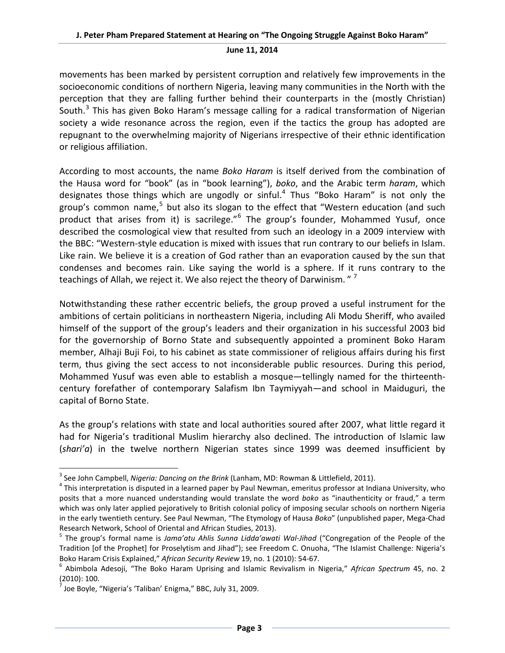movements has been marked by persistent corruption and relatively few improvements in the socioeconomic conditions of northern Nigeria, leaving many communities in the North with the perception that they are falling further behind their counterparts in the (mostly Christian) South.<sup>[3](#page-2-0)</sup> This has given Boko Haram's message calling for a radical transformation of Nigerian society a wide resonance across the region, even if the tactics the group has adopted are repugnant to the overwhelming majority of Nigerians irrespective of their ethnic identification or religious affiliation.

According to most accounts, the name *Boko Haram* is itself derived from the combination of the Hausa word for "book" (as in "book learning"), *boko*, and the Arabic term *haram*, which designates those things which are ungodly or sinful.<sup>[4](#page-2-1)</sup> Thus "Boko Haram" is not only the group's common name,<sup>[5](#page-2-2)</sup> but also its slogan to the effect that "Western education (and such product that arises from it) is sacrilege."<sup>[6](#page-2-3)</sup> The group's founder, Mohammed Yusuf, once described the cosmological view that resulted from such an ideology in a 2009 interview with the BBC: "Western-style education is mixed with issues that run contrary to our beliefs in Islam. Like rain. We believe it is a creation of God rather than an evaporation caused by the sun that condenses and becomes rain. Like saying the world is a sphere. If it runs contrary to the teachings of Allah, we reject it. We also reject the theory of Darwinism."  $7$ 

Notwithstanding these rather eccentric beliefs, the group proved a useful instrument for the ambitions of certain politicians in northeastern Nigeria, including Ali Modu Sheriff, who availed himself of the support of the group's leaders and their organization in his successful 2003 bid for the governorship of Borno State and subsequently appointed a prominent Boko Haram member, Alhaji Buji Foi, to his cabinet as state commissioner of religious affairs during his first term, thus giving the sect access to not inconsiderable public resources. During this period, Mohammed Yusuf was even able to establish a mosque—tellingly named for the thirteenthcentury forefather of contemporary Salafism Ibn Taymiyyah—and school in Maiduguri, the capital of Borno State.

As the group's relations with state and local authorities soured after 2007, what little regard it had for Nigeria's traditional Muslim hierarchy also declined. The introduction of Islamic law (*shari'a*) in the twelve northern Nigerian states since 1999 was deemed insufficient by

<span id="page-2-1"></span><span id="page-2-0"></span><sup>&</sup>lt;sup>3</sup> See John Campbell, *Nigeria: Dancing on the Brink* (Lanham, MD: Rowman & Littlefield, 2011).<br><sup>4</sup> This interpretation is disputed in a learned paper by Paul Newman, emeritus professor at Indiana University, who posits that a more nuanced understanding would translate the word *boko* as "inauthenticity or fraud," a term which was only later applied pejoratively to British colonial policy of imposing secular schools on northern Nigeria in the early twentieth century. See Paul Newman, "The Etymology of Hausa *Boko*" (unpublished paper, Mega-Chad Research Network, School of Oriental and African Studies, 2013).<br><sup>5</sup> The group's formal name is *Jama'atu Ahlis Sunna Lidda'awati Wal-Jihad* ("Congregation of the People of the

<span id="page-2-2"></span>Tradition [of the Prophet] for Proselytism and Jihad"); see Freedom C. Onuoha, "The Islamist Challenge: Nigeria's Boko Haram Crisis Explained," *African Security Review* 19, no. 1 (2010): 54-67.<br><sup>6</sup> Abimbola Adesoji, "The Boko Haram Uprising and Islamic Revivalism in Nigeria," *African Spectrum* 45, no. 2

<span id="page-2-3"></span><sup>(2010): 100.</sup>

<span id="page-2-4"></span> $<sup>7</sup>$  Joe Boyle, "Nigeria's 'Taliban' Enigma," BBC, July 31, 2009.</sup>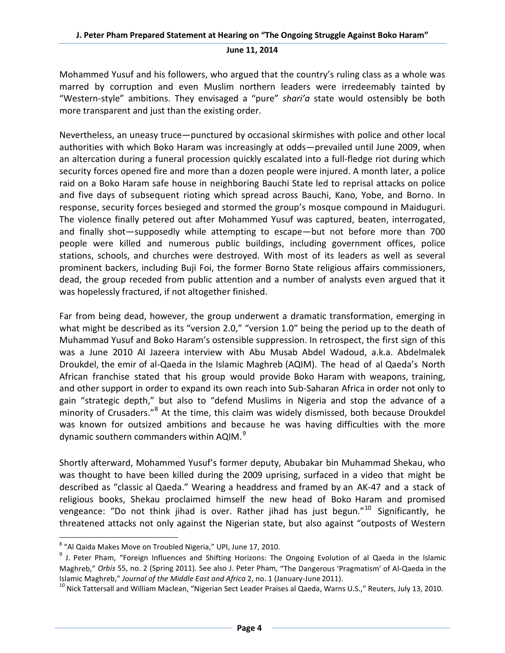Mohammed Yusuf and his followers, who argued that the country's ruling class as a whole was marred by corruption and even Muslim northern leaders were irredeemably tainted by "Western-style" ambitions. They envisaged a "pure" *shari'a* state would ostensibly be both more transparent and just than the existing order.

Nevertheless, an uneasy truce—punctured by occasional skirmishes with police and other local authorities with which Boko Haram was increasingly at odds—prevailed until June 2009, when an altercation during a funeral procession quickly escalated into a full-fledge riot during which security forces opened fire and more than a dozen people were injured. A month later, a police raid on a Boko Haram safe house in neighboring Bauchi State led to reprisal attacks on police and five days of subsequent rioting which spread across Bauchi, Kano, Yobe, and Borno. In response, security forces besieged and stormed the group's mosque compound in Maiduguri. The violence finally petered out after Mohammed Yusuf was captured, beaten, interrogated, and finally shot—supposedly while attempting to escape—but not before more than 700 people were killed and numerous public buildings, including government offices, police stations, schools, and churches were destroyed. With most of its leaders as well as several prominent backers, including Buji Foi, the former Borno State religious affairs commissioners, dead, the group receded from public attention and a number of analysts even argued that it was hopelessly fractured, if not altogether finished.

Far from being dead, however, the group underwent a dramatic transformation, emerging in what might be described as its "version 2.0," "version 1.0" being the period up to the death of Muhammad Yusuf and Boko Haram's ostensible suppression. In retrospect, the first sign of this was a June 2010 Al Jazeera interview with Abu Musab Abdel Wadoud, a.k.a. Abdelmalek Droukdel, the emir of al-Qaeda in the Islamic Maghreb (AQIM). The head of al Qaeda's North African franchise stated that his group would provide Boko Haram with weapons, training, and other support in order to expand its own reach into Sub-Saharan Africa in order not only to gain "strategic depth," but also to "defend Muslims in Nigeria and stop the advance of a minority of Crusaders."<sup>[8](#page-3-0)</sup> At the time, this claim was widely dismissed, both because Droukdel was known for outsized ambitions and because he was having difficulties with the more dynamic southern commanders within AQIM. $^9$  $^9$ 

Shortly afterward, Mohammed Yusuf's former deputy, Abubakar bin Muhammad Shekau, who was thought to have been killed during the 2009 uprising, surfaced in a video that might be described as "classic al Qaeda." Wearing a headdress and framed by an AK-47 and a stack of religious books, Shekau proclaimed himself the new head of Boko Haram and promised vengeance: "Do not think jihad is over. Rather jihad has just begun."<sup>[10](#page-3-2)</sup> Significantly, he threatened attacks not only against the Nigerian state, but also against "outposts of Western

<span id="page-3-0"></span> <sup>8</sup> "Al Qaida Makes Move on Troubled Nigeria," UPI, June 17, 2010.

<span id="page-3-1"></span><sup>&</sup>lt;sup>9</sup> J. Peter Pham, "Foreign Influences and Shifting Horizons: The Ongoing Evolution of al Qaeda in the Islamic Maghreb," *Orbis* 55, no. 2 (Spring 2011). See also J. Peter Pham, "The Dangerous 'Pragmatism' of Al-Qaeda in the<br>Islamic Maghreb," Journal of the Middle East and Africa 2, no. 1 (January-June 2011).

<span id="page-3-2"></span><sup>&</sup>lt;sup>10</sup> Nick Tattersall and William Maclean, "Nigerian Sect Leader Praises al Qaeda, Warns U.S.," Reuters, July 13, 2010.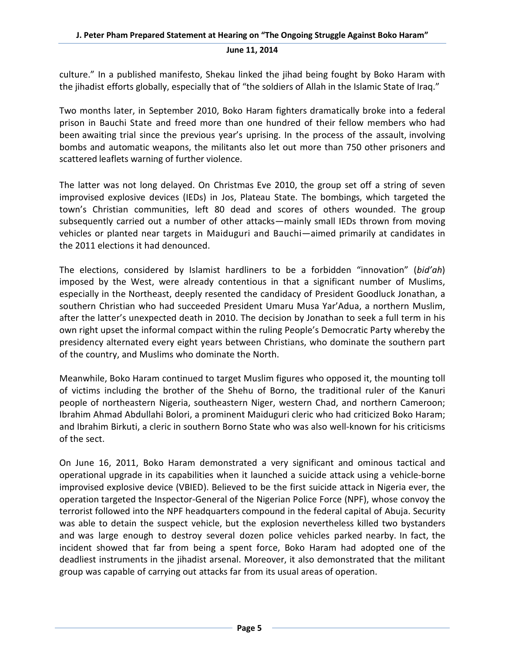culture." In a published manifesto, Shekau linked the jihad being fought by Boko Haram with the jihadist efforts globally, especially that of "the soldiers of Allah in the Islamic State of Iraq."

Two months later, in September 2010, Boko Haram fighters dramatically broke into a federal prison in Bauchi State and freed more than one hundred of their fellow members who had been awaiting trial since the previous year's uprising. In the process of the assault, involving bombs and automatic weapons, the militants also let out more than 750 other prisoners and scattered leaflets warning of further violence.

The latter was not long delayed. On Christmas Eve 2010, the group set off a string of seven improvised explosive devices (IEDs) in Jos, Plateau State. The bombings, which targeted the town's Christian communities, left 80 dead and scores of others wounded. The group subsequently carried out a number of other attacks—mainly small IEDs thrown from moving vehicles or planted near targets in Maiduguri and Bauchi—aimed primarily at candidates in the 2011 elections it had denounced.

The elections, considered by Islamist hardliners to be a forbidden "innovation" (*bid'ah*) imposed by the West, were already contentious in that a significant number of Muslims, especially in the Northeast, deeply resented the candidacy of President Goodluck Jonathan, a southern Christian who had succeeded President Umaru Musa Yar'Adua, a northern Muslim, after the latter's unexpected death in 2010. The decision by Jonathan to seek a full term in his own right upset the informal compact within the ruling People's Democratic Party whereby the presidency alternated every eight years between Christians, who dominate the southern part of the country, and Muslims who dominate the North.

Meanwhile, Boko Haram continued to target Muslim figures who opposed it, the mounting toll of victims including the brother of the Shehu of Borno, the traditional ruler of the Kanuri people of northeastern Nigeria, southeastern Niger, western Chad, and northern Cameroon; Ibrahim Ahmad Abdullahi Bolori, a prominent Maiduguri cleric who had criticized Boko Haram; and Ibrahim Birkuti, a cleric in southern Borno State who was also well-known for his criticisms of the sect.

On June 16, 2011, Boko Haram demonstrated a very significant and ominous tactical and operational upgrade in its capabilities when it launched a suicide attack using a vehicle-borne improvised explosive device (VBIED). Believed to be the first suicide attack in Nigeria ever, the operation targeted the Inspector-General of the Nigerian Police Force (NPF), whose convoy the terrorist followed into the NPF headquarters compound in the federal capital of Abuja. Security was able to detain the suspect vehicle, but the explosion nevertheless killed two bystanders and was large enough to destroy several dozen police vehicles parked nearby. In fact, the incident showed that far from being a spent force, Boko Haram had adopted one of the deadliest instruments in the jihadist arsenal. Moreover, it also demonstrated that the militant group was capable of carrying out attacks far from its usual areas of operation.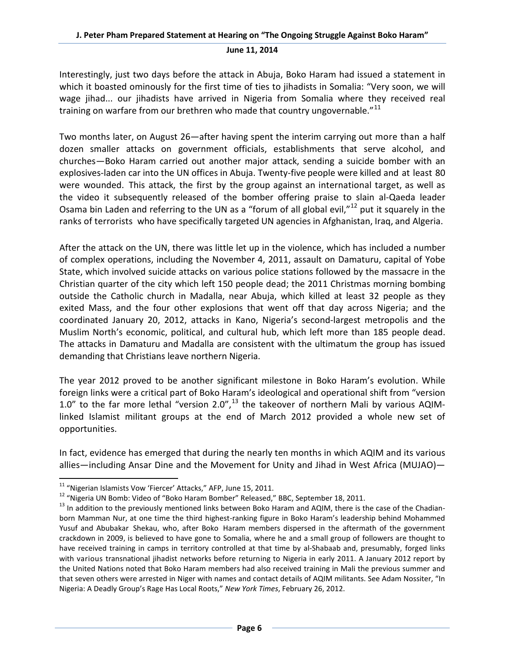Interestingly, just two days before the attack in Abuja, Boko Haram had issued a statement in which it boasted ominously for the first time of ties to jihadists in Somalia: "Very soon, we will wage jihad... our jihadists have arrived in Nigeria from Somalia where they received real training on warfare from our brethren who made that country ungovernable."<sup>[11](#page-5-0)</sup>

Two months later, on August 26—after having spent the interim carrying out more than a half dozen smaller attacks on government officials, establishments that serve alcohol, and churches—Boko Haram carried out another major attack, sending a suicide bomber with an explosives-laden car into the UN offices in Abuja. Twenty-five people were killed and at least 80 were wounded. This attack, the first by the group against an international target, as well as the video it subsequently released of the bomber offering praise to slain al-Qaeda leader Osama bin Laden and referring to the UN as a "forum of all global evil,"<sup>[12](#page-5-1)</sup> put it squarely in the ranks of terrorists who have specifically targeted UN agencies in Afghanistan, Iraq, and Algeria.

After the attack on the UN, there was little let up in the violence, which has included a number of complex operations, including the November 4, 2011, assault on Damaturu, capital of Yobe State, which involved suicide attacks on various police stations followed by the massacre in the Christian quarter of the city which left 150 people dead; the 2011 Christmas morning bombing outside the Catholic church in Madalla, near Abuja, which killed at least 32 people as they exited Mass, and the four other explosions that went off that day across Nigeria; and the coordinated January 20, 2012, attacks in Kano, Nigeria's second-largest metropolis and the Muslim North's economic, political, and cultural hub, which left more than 185 people dead. The attacks in Damaturu and Madalla are consistent with the ultimatum the group has issued demanding that Christians leave northern Nigeria.

The year 2012 proved to be another significant milestone in Boko Haram's evolution. While foreign links were a critical part of Boko Haram's ideological and operational shift from "version 1.0" to the far more lethal "version 2.0", $^{13}$  $^{13}$  $^{13}$  the takeover of northern Mali by various AQIMlinked Islamist militant groups at the end of March 2012 provided a whole new set of opportunities.

In fact, evidence has emerged that during the nearly ten months in which AQIM and its various allies—including Ansar Dine and the Movement for Unity and Jihad in West Africa (MUJAO)—

<span id="page-5-2"></span><span id="page-5-1"></span>

<span id="page-5-0"></span><sup>&</sup>lt;sup>11</sup> "Nigerian Islamists Vow 'Fiercer' Attacks," AFP, June 15, 2011.<br><sup>12</sup> "Nigeria UN Bomb: Video of "Boko Haram Bomber" Released," BBC, September 18, 2011.<br><sup>13</sup> In addition to the previously mentioned links between Boko born Mamman Nur, at one time the third highest-ranking figure in Boko Haram's leadership behind Mohammed Yusuf and Abubakar Shekau, who, after Boko Haram members dispersed in the aftermath of the government crackdown in 2009, is believed to have gone to Somalia, where he and a small group of followers are thought to have received training in camps in territory controlled at that time by al-Shabaab and, presumably, forged links with various transnational jihadist networks before returning to Nigeria in early 2011. A January 2012 report by the United Nations noted that Boko Haram members had also received training in Mali the previous summer and that seven others were arrested in Niger with names and contact details of AQIM militants. See Adam Nossiter, "In Nigeria: A Deadly Group's Rage Has Local Roots," *New York Times*, February 26, 2012.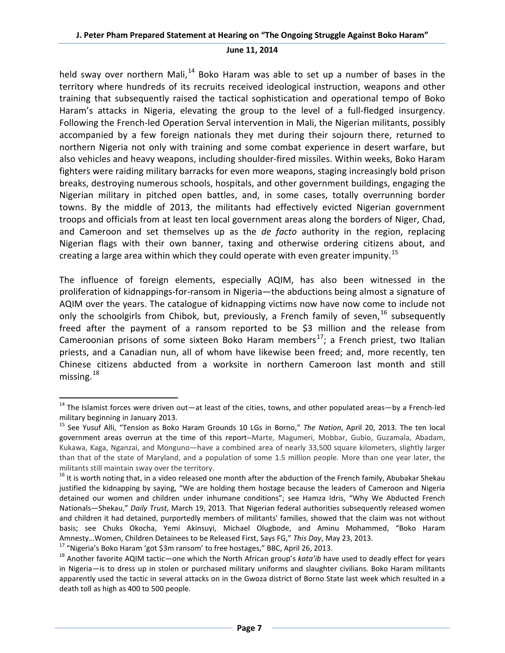held sway over northern Mali,<sup>[14](#page-6-0)</sup> Boko Haram was able to set up a number of bases in the territory where hundreds of its recruits received ideological instruction, weapons and other training that subsequently raised the tactical sophistication and operational tempo of Boko Haram's attacks in Nigeria, elevating the group to the level of a full-fledged insurgency. Following the French-led Operation Serval intervention in Mali, the Nigerian militants, possibly accompanied by a few foreign nationals they met during their sojourn there, returned to northern Nigeria not only with training and some combat experience in desert warfare, but also vehicles and heavy weapons, including shoulder-fired missiles. Within weeks, Boko Haram fighters were raiding military barracks for even more weapons, staging increasingly bold prison breaks, destroying numerous schools, hospitals, and other government buildings, engaging the Nigerian military in pitched open battles, and, in some cases, totally overrunning border towns. By the middle of 2013, the militants had effectively evicted Nigerian government troops and officials from at least ten local government areas along the borders of Niger, Chad, and Cameroon and set themselves up as the *de facto* authority in the region, replacing Nigerian flags with their own banner, taxing and otherwise ordering citizens about, and creating a large area within which they could operate with even greater impunity.<sup>[15](#page-6-1)</sup>

The influence of foreign elements, especially AQIM, has also been witnessed in the proliferation of kidnappings-for-ransom in Nigeria—the abductions being almost a signature of AQIM over the years. The catalogue of kidnapping victims now have now come to include not only the schoolgirls from Chibok, but, previously, a French family of seven,  $^{16}$  $^{16}$  $^{16}$  subsequently freed after the payment of a ransom reported to be \$3 million and the release from Cameroonian prisons of some sixteen Boko Haram members<sup>17</sup>; a French priest, two Italian priests, and a Canadian nun, all of whom have likewise been freed; and, more recently, ten Chinese citizens abducted from a worksite in northern Cameroon last month and still missing. $^{18}$  $^{18}$  $^{18}$ 

<span id="page-6-0"></span> $14$  The Islamist forces were driven out—at least of the cities, towns, and other populated areas—by a French-led

<span id="page-6-1"></span>military beginning in January 2013.<br><sup>15</sup> See Yusuf Alli, "Tension as Boko Haram Grounds 10 LGs in Borno," *The Nation*, April 20, 2013. The ten local government areas overrun at the time of this report--Marte, Magumeri, Mobbar, Gubio, Guzamala, Abadam, Kukawa, Kaga, Nganzai, and Monguno—have a combined area of nearly 33,500 square kilometers, slightly larger than that of the state of Maryland, and a population of some 1.5 million people. More than one year later, the militants still maintain sway over the territory.

<span id="page-6-2"></span><sup>&</sup>lt;sup>16</sup> It is worth noting that, in a video released one month after the abduction of the French family, Abubakar Shekau justified the kidnapping by saying, "We are holding them hostage because the leaders of Cameroon and Nigeria detained our women and children under inhumane conditions"; see Hamza Idris, "Why We Abducted French Nationals—Shekau," *Daily Trust*, March 19, 2013. That Nigerian federal authorities subsequently released women and children it had detained, purportedly members of militants' families, showed that the claim was not without basis; see Chuks Okocha, Yemi Akinsuyi, Michael Olugbode, and Aminu Mohammed, "Boko Haram Amnesty...Women, Children Detainees to be Released First, Says FG," This Day, May 23, 2013.<br><sup>17</sup> "Nigeria's Boko Haram 'got \$3m ransom' to free hostages," BBC, April 26, 2013.<br><sup>18</sup> Another favorite AQIM tactic—one which th

<span id="page-6-3"></span>

<span id="page-6-4"></span>in Nigeria—is to dress up in stolen or purchased military uniforms and slaughter civilians. Boko Haram militants apparently used the tactic in several attacks on in the Gwoza district of Borno State last week which resulted in a death toll as high as 400 to 500 people.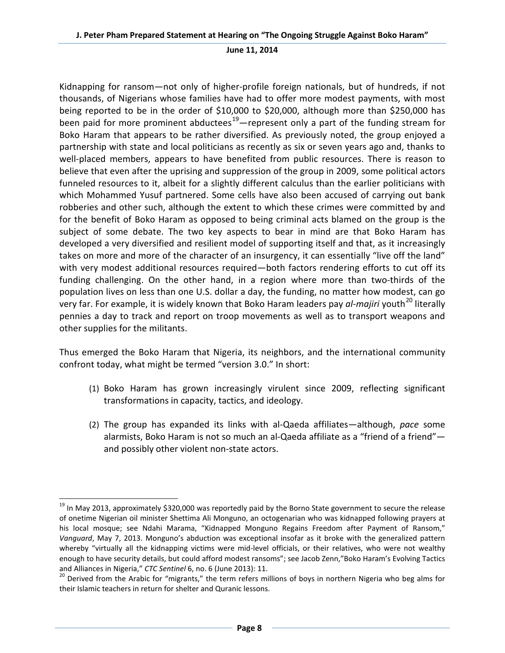Kidnapping for ransom—not only of higher-profile foreign nationals, but of hundreds, if not thousands, of Nigerians whose families have had to offer more modest payments, with most being reported to be in the order of \$10,000 to \$20,000, although more than \$250,000 has been paid for more prominent abductees<sup>19</sup>—represent only a part of the funding stream for Boko Haram that appears to be rather diversified. As previously noted, the group enjoyed a partnership with state and local politicians as recently as six or seven years ago and, thanks to well-placed members, appears to have benefited from public resources. There is reason to believe that even after the uprising and suppression of the group in 2009, some political actors funneled resources to it, albeit for a slightly different calculus than the earlier politicians with which Mohammed Yusuf partnered. Some cells have also been accused of carrying out bank robberies and other such, although the extent to which these crimes were committed by and for the benefit of Boko Haram as opposed to being criminal acts blamed on the group is the subject of some debate. The two key aspects to bear in mind are that Boko Haram has developed a very diversified and resilient model of supporting itself and that, as it increasingly takes on more and more of the character of an insurgency, it can essentially "live off the land" with very modest additional resources required—both factors rendering efforts to cut off its funding challenging. On the other hand, in a region where more than two-thirds of the population lives on less than one U.S. dollar a day, the funding, no matter how modest, can go very far. For example, it is widely known that Boko Haram leaders pay *al-majiri* youth<sup>[20](#page-7-1)</sup> literally pennies a day to track and report on troop movements as well as to transport weapons and other supplies for the militants.

Thus emerged the Boko Haram that Nigeria, its neighbors, and the international community confront today, what might be termed "version 3.0." In short:

- (1) Boko Haram has grown increasingly virulent since 2009, reflecting significant transformations in capacity, tactics, and ideology.
- (2) The group has expanded its links with al-Qaeda affiliates—although, *pace* some alarmists, Boko Haram is not so much an al-Qaeda affiliate as a "friend of a friend" and possibly other violent non-state actors.

<span id="page-7-0"></span><sup>&</sup>lt;sup>19</sup> In May 2013, approximately \$320,000 was reportedly paid by the Borno State government to secure the release of onetime Nigerian oil minister Shettima Ali Monguno, an octogenarian who was kidnapped following prayers at his local mosque; see Ndahi Marama, "Kidnapped Monguno Regains Freedom after Payment of Ransom," *Vanguard*, May 7, 2013. Monguno's abduction was exceptional insofar as it broke with the generalized pattern whereby "virtually all the kidnapping victims were mid-level officials, or their relatives, who were not wealthy enough to have security details, but could afford modest ransoms"; see Jacob Zenn,"Boko Haram's Evolving Tactics and Alliances in Nigeria," *CTC Sentinel* 6, no. 6 (June 2013): 11.<br><sup>20</sup> Derived from the Arabic for "migrants," the term refers millions of boys in northern Nigeria who beg alms for

<span id="page-7-1"></span>their Islamic teachers in return for shelter and Quranic lessons.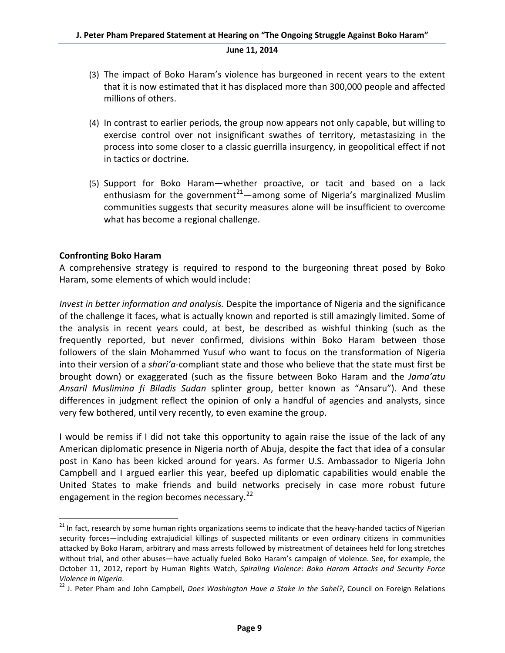- (3) The impact of Boko Haram's violence has burgeoned in recent years to the extent that it is now estimated that it has displaced more than 300,000 people and affected millions of others.
- (4) In contrast to earlier periods, the group now appears not only capable, but willing to exercise control over not insignificant swathes of territory, metastasizing in the process into some closer to a classic guerrilla insurgency, in geopolitical effect if not in tactics or doctrine.
- (5) Support for Boko Haram—whether proactive, or tacit and based on a lack enthusiasm for the government<sup>21</sup>—among some of Nigeria's marginalized Muslim communities suggests that security measures alone will be insufficient to overcome what has become a regional challenge.

# **Confronting Boko Haram**

A comprehensive strategy is required to respond to the burgeoning threat posed by Boko Haram, some elements of which would include:

*Invest in better information and analysis.* Despite the importance of Nigeria and the significance of the challenge it faces, what is actually known and reported is still amazingly limited. Some of the analysis in recent years could, at best, be described as wishful thinking (such as the frequently reported, but never confirmed, divisions within Boko Haram between those followers of the slain Mohammed Yusuf who want to focus on the transformation of Nigeria into their version of a *shari'a*-compliant state and those who believe that the state must first be brought down) or exaggerated (such as the fissure between Boko Haram and the *Jama'atu Ansaril Muslimina fi Biladis Sudan* splinter group, better known as "Ansaru"). And these differences in judgment reflect the opinion of only a handful of agencies and analysts, since very few bothered, until very recently, to even examine the group.

I would be remiss if I did not take this opportunity to again raise the issue of the lack of any American diplomatic presence in Nigeria north of Abuja, despite the fact that idea of a consular post in Kano has been kicked around for years. As former U.S. Ambassador to Nigeria John Campbell and I argued earlier this year, beefed up diplomatic capabilities would enable the United States to make friends and build networks precisely in case more robust future engagement in the region becomes necessary. $^{22}$  $^{22}$  $^{22}$ 

<span id="page-8-0"></span><sup>&</sup>lt;sup>21</sup> In fact, research by some human rights organizations seems to indicate that the heavy-handed tactics of Nigerian security forces—including extrajudicial killings of suspected militants or even ordinary citizens in communities attacked by Boko Haram, arbitrary and mass arrests followed by mistreatment of detainees held for long stretches without trial, and other abuses—have actually fueled Boko Haram's campaign of violence. See, for example, the October 11, 2012, report by Human Rights Watch, *Spiraling Violence: Boko Haram Attacks and Security Force* 

<span id="page-8-1"></span>*Violence in Nigeria.*<br><sup>22</sup> J. Peter Pham and John Campbell, *Does Washington Have a Stake in the Sahel?*, Council on Foreign Relations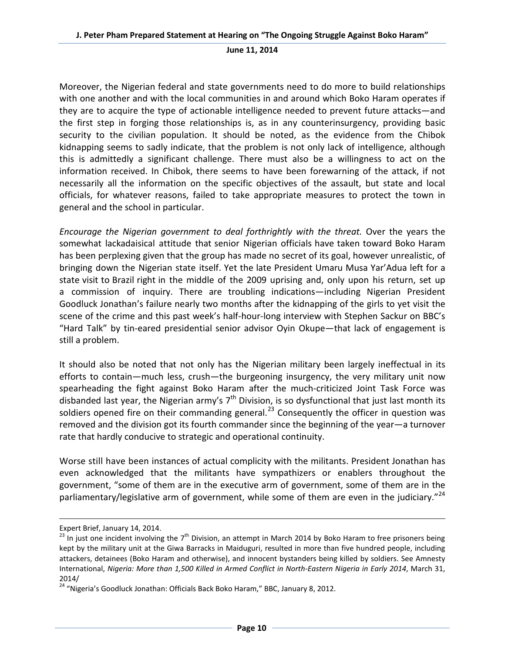Moreover, the Nigerian federal and state governments need to do more to build relationships with one another and with the local communities in and around which Boko Haram operates if they are to acquire the type of actionable intelligence needed to prevent future attacks—and the first step in forging those relationships is, as in any counterinsurgency, providing basic security to the civilian population. It should be noted, as the evidence from the Chibok kidnapping seems to sadly indicate, that the problem is not only lack of intelligence, although this is admittedly a significant challenge. There must also be a willingness to act on the information received. In Chibok, there seems to have been forewarning of the attack, if not necessarily all the information on the specific objectives of the assault, but state and local officials, for whatever reasons, failed to take appropriate measures to protect the town in general and the school in particular.

*Encourage the Nigerian government to deal forthrightly with the threat.* Over the years the somewhat lackadaisical attitude that senior Nigerian officials have taken toward Boko Haram has been perplexing given that the group has made no secret of its goal, however unrealistic, of bringing down the Nigerian state itself. Yet the late President Umaru Musa Yar'Adua left for a state visit to Brazil right in the middle of the 2009 uprising and, only upon his return, set up a commission of inquiry. There are troubling indications—including Nigerian President Goodluck Jonathan's failure nearly two months after the kidnapping of the girls to yet visit the scene of the crime and this past week's half-hour-long interview with Stephen Sackur on BBC's "Hard Talk" by tin-eared presidential senior advisor Oyin Okupe—that lack of engagement is still a problem.

It should also be noted that not only has the Nigerian military been largely ineffectual in its efforts to contain—much less, crush—the burgeoning insurgency, the very military unit now spearheading the fight against Boko Haram after the much-criticized Joint Task Force was disbanded last year, the Nigerian army's  $7<sup>th</sup>$  Division, is so dysfunctional that just last month its soldiers opened fire on their commanding general.<sup>[23](#page-9-0)</sup> Consequently the officer in question was removed and the division got its fourth commander since the beginning of the year—a turnover rate that hardly conducive to strategic and operational continuity.

Worse still have been instances of actual complicity with the militants. President Jonathan has even acknowledged that the militants have sympathizers or enablers throughout the government, "some of them are in the executive arm of government, some of them are in the parliamentary/legislative arm of government, while some of them are even in the judiciary."<sup>[24](#page-9-1)</sup>

 $\overline{\phantom{a}}$ 

Expert Brief, January 14, 2014.

<span id="page-9-0"></span> $^{23}$  In just one incident involving the 7<sup>th</sup> Division, an attempt in March 2014 by Boko Haram to free prisoners being kept by the military unit at the Giwa Barracks in Maiduguri, resulted in more than five hundred people, including attackers, detainees (Boko Haram and otherwise), and innocent bystanders being killed by soldiers. See Amnesty International, *Nigeria: More than 1,500 Killed in Armed Conflict in North-Eastern Nigeria in Early 2014*, March 31, 2014/

<span id="page-9-1"></span><sup>&</sup>lt;sup>24</sup> "Nigeria's Goodluck Jonathan: Officials Back Boko Haram," BBC, January 8, 2012.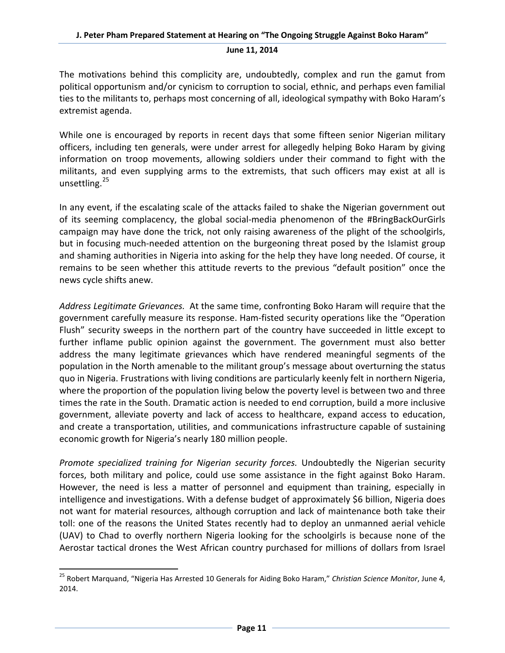The motivations behind this complicity are, undoubtedly, complex and run the gamut from political opportunism and/or cynicism to corruption to social, ethnic, and perhaps even familial ties to the militants to, perhaps most concerning of all, ideological sympathy with Boko Haram's extremist agenda.

While one is encouraged by reports in recent days that some fifteen senior Nigerian military officers, including ten generals, were under arrest for allegedly helping Boko Haram by giving information on troop movements, allowing soldiers under their command to fight with the militants, and even supplying arms to the extremists, that such officers may exist at all is unsettling.<sup>[25](#page-10-0)</sup>

In any event, if the escalating scale of the attacks failed to shake the Nigerian government out of its seeming complacency, the global social-media phenomenon of the #BringBackOurGirls campaign may have done the trick, not only raising awareness of the plight of the schoolgirls, but in focusing much-needed attention on the burgeoning threat posed by the Islamist group and shaming authorities in Nigeria into asking for the help they have long needed. Of course, it remains to be seen whether this attitude reverts to the previous "default position" once the news cycle shifts anew.

*Address Legitimate Grievances.* At the same time, confronting Boko Haram will require that the government carefully measure its response. Ham-fisted security operations like the "Operation Flush" security sweeps in the northern part of the country have succeeded in little except to further inflame public opinion against the government. The government must also better address the many legitimate grievances which have rendered meaningful segments of the population in the North amenable to the militant group's message about overturning the status quo in Nigeria. Frustrations with living conditions are particularly keenly felt in northern Nigeria, where the proportion of the population living below the poverty level is between two and three times the rate in the South. Dramatic action is needed to end corruption, build a more inclusive government, alleviate poverty and lack of access to healthcare, expand access to education, and create a transportation, utilities, and communications infrastructure capable of sustaining economic growth for Nigeria's nearly 180 million people.

*Promote specialized training for Nigerian security forces.* Undoubtedly the Nigerian security forces, both military and police, could use some assistance in the fight against Boko Haram. However, the need is less a matter of personnel and equipment than training, especially in intelligence and investigations. With a defense budget of approximately \$6 billion, Nigeria does not want for material resources, although corruption and lack of maintenance both take their toll: one of the reasons the United States recently had to deploy an unmanned aerial vehicle (UAV) to Chad to overfly northern Nigeria looking for the schoolgirls is because none of the Aerostar tactical drones the West African country purchased for millions of dollars from Israel

<span id="page-10-0"></span> <sup>25</sup> Robert Marquand, "Nigeria Has Arrested 10 Generals for Aiding Boko Haram," *Christian Science Monitor*, June 4, 2014.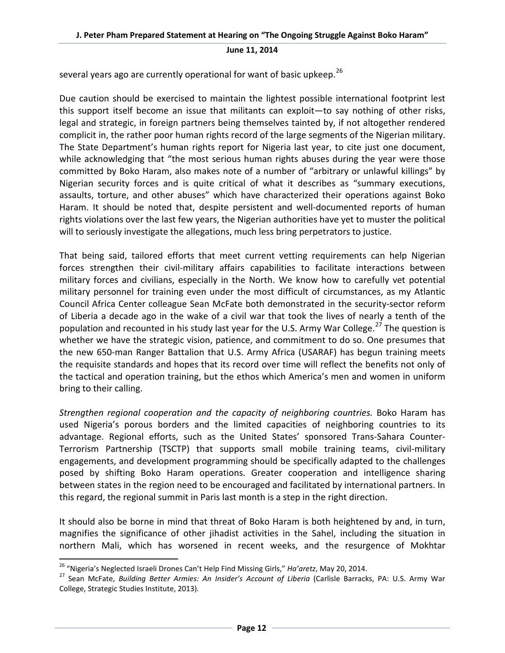several years ago are currently operational for want of basic upkeep.<sup>[26](#page-11-0)</sup>

Due caution should be exercised to maintain the lightest possible international footprint lest this support itself become an issue that militants can exploit—to say nothing of other risks, legal and strategic, in foreign partners being themselves tainted by, if not altogether rendered complicit in, the rather poor human rights record of the large segments of the Nigerian military. The State Department's human rights report for Nigeria last year, to cite just one document, while acknowledging that "the most serious human rights abuses during the year were those committed by Boko Haram, also makes note of a number of "arbitrary or unlawful killings" by Nigerian security forces and is quite critical of what it describes as "summary executions, assaults, torture, and other abuses" which have characterized their operations against Boko Haram. It should be noted that, despite persistent and well-documented reports of human rights violations over the last few years, the Nigerian authorities have yet to muster the political will to seriously investigate the allegations, much less bring perpetrators to justice.

That being said, tailored efforts that meet current vetting requirements can help Nigerian forces strengthen their civil-military affairs capabilities to facilitate interactions between military forces and civilians, especially in the North. We know how to carefully vet potential military personnel for training even under the most difficult of circumstances, as my Atlantic Council Africa Center colleague Sean McFate both demonstrated in the security-sector reform of Liberia a decade ago in the wake of a civil war that took the lives of nearly a tenth of the population and recounted in his study last year for the U.S. Army War College.<sup>[27](#page-11-1)</sup> The question is whether we have the strategic vision, patience, and commitment to do so. One presumes that the new 650-man Ranger Battalion that U.S. Army Africa (USARAF) has begun training meets the requisite standards and hopes that its record over time will reflect the benefits not only of the tactical and operation training, but the ethos which America's men and women in uniform bring to their calling.

*Strengthen regional cooperation and the capacity of neighboring countries.* Boko Haram has used Nigeria's porous borders and the limited capacities of neighboring countries to its advantage. Regional efforts, such as the United States' sponsored Trans-Sahara Counter-Terrorism Partnership (TSCTP) that supports small mobile training teams, civil-military engagements, and development programming should be specifically adapted to the challenges posed by shifting Boko Haram operations. Greater cooperation and intelligence sharing between states in the region need to be encouraged and facilitated by international partners. In this regard, the regional summit in Paris last month is a step in the right direction.

It should also be borne in mind that threat of Boko Haram is both heightened by and, in turn, magnifies the significance of other jihadist activities in the Sahel, including the situation in northern Mali, which has worsened in recent weeks, and the resurgence of Mokhtar

<span id="page-11-1"></span><span id="page-11-0"></span><sup>&</sup>lt;sup>26</sup> "Nigeria's Neglected Israeli Drones Can't Help Find Missing Girls," *Ha'aretz*, May 20, 2014.<br><sup>27</sup> Sean McFate, *Building Better Armies: An Insider's Account of Liberia* (Carlisle Barracks, PA: U.S. Army War College, Strategic Studies Institute, 2013).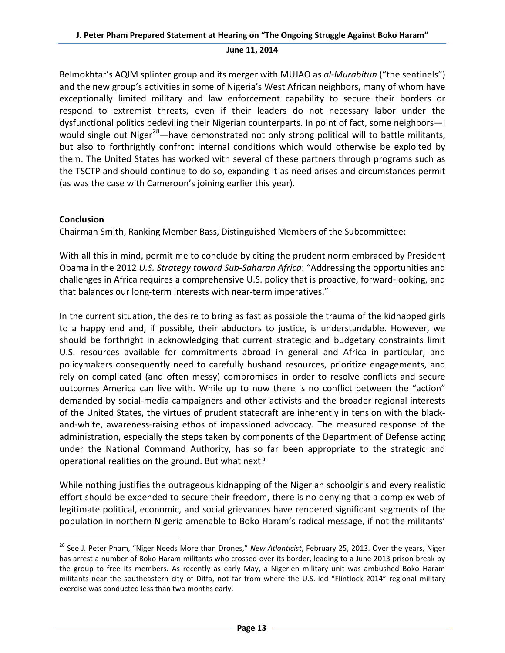Belmokhtar's AQIM splinter group and its merger with MUJAO as *al-Murabitun* ("the sentinels") and the new group's activities in some of Nigeria's West African neighbors, many of whom have exceptionally limited military and law enforcement capability to secure their borders or respond to extremist threats, even if their leaders do not necessary labor under the dysfunctional politics bedeviling their Nigerian counterparts. In point of fact, some neighbors—I would single out Niger<sup>[28](#page-12-0)</sup>—have demonstrated not only strong political will to battle militants, but also to forthrightly confront internal conditions which would otherwise be exploited by them. The United States has worked with several of these partners through programs such as the TSCTP and should continue to do so, expanding it as need arises and circumstances permit (as was the case with Cameroon's joining earlier this year).

# **Conclusion**

Chairman Smith, Ranking Member Bass, Distinguished Members of the Subcommittee:

With all this in mind, permit me to conclude by citing the prudent norm embraced by President Obama in the 2012 *U.S. Strategy toward Sub-Saharan Africa*: "Addressing the opportunities and challenges in Africa requires a comprehensive U.S. policy that is proactive, forward-looking, and that balances our long-term interests with near-term imperatives."

In the current situation, the desire to bring as fast as possible the trauma of the kidnapped girls to a happy end and, if possible, their abductors to justice, is understandable. However, we should be forthright in acknowledging that current strategic and budgetary constraints limit U.S. resources available for commitments abroad in general and Africa in particular, and policymakers consequently need to carefully husband resources, prioritize engagements, and rely on complicated (and often messy) compromises in order to resolve conflicts and secure outcomes America can live with. While up to now there is no conflict between the "action" demanded by social-media campaigners and other activists and the broader regional interests of the United States, the virtues of prudent statecraft are inherently in tension with the blackand-white, awareness-raising ethos of impassioned advocacy. The measured response of the administration, especially the steps taken by components of the Department of Defense acting under the National Command Authority, has so far been appropriate to the strategic and operational realities on the ground. But what next?

While nothing justifies the outrageous kidnapping of the Nigerian schoolgirls and every realistic effort should be expended to secure their freedom, there is no denying that a complex web of legitimate political, economic, and social grievances have rendered significant segments of the population in northern Nigeria amenable to Boko Haram's radical message, if not the militants'

<span id="page-12-0"></span> <sup>28</sup> See J. Peter Pham, "Niger Needs More than Drones," *New Atlanticist*, February 25, 2013. Over the years, Niger has arrest a number of Boko Haram militants who crossed over its border, leading to a June 2013 prison break by the group to free its members. As recently as early May, a Nigerien military unit was ambushed Boko Haram militants near the southeastern city of Diffa, not far from where the U.S.-led "Flintlock 2014" regional military exercise was conducted less than two months early.